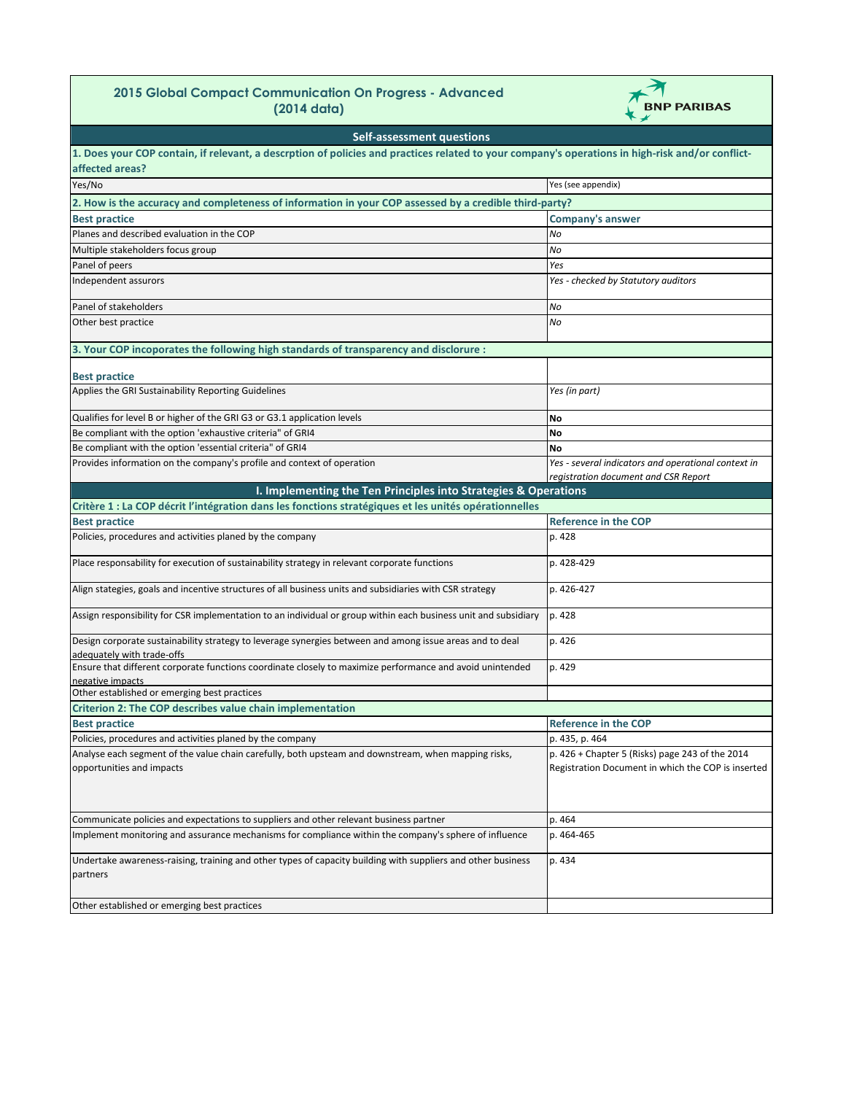## **2015 Global Compact Communication On Progress - Advanced (2014 data)**



| <b>Self-assessment questions</b>                                                                                                                 |                                                                                                       |
|--------------------------------------------------------------------------------------------------------------------------------------------------|-------------------------------------------------------------------------------------------------------|
| 1. Does your COP contain, if relevant, a descrption of policies and practices related to your company's operations in high-risk and/or conflict- |                                                                                                       |
| affected areas?                                                                                                                                  |                                                                                                       |
| Yes/No                                                                                                                                           | Yes (see appendix)                                                                                    |
| 2. How is the accuracy and completeness of information in your COP assessed by a credible third-party?                                           |                                                                                                       |
| <b>Best practice</b>                                                                                                                             | <b>Company's answer</b>                                                                               |
| Planes and described evaluation in the COP                                                                                                       | No                                                                                                    |
| Multiple stakeholders focus group                                                                                                                | No                                                                                                    |
| Panel of peers                                                                                                                                   | Yes                                                                                                   |
| Independent assurors                                                                                                                             | Yes - checked by Statutory auditors                                                                   |
| Panel of stakeholders                                                                                                                            | No                                                                                                    |
| Other best practice                                                                                                                              | No                                                                                                    |
| 3. Your COP incoporates the following high standards of transparency and disclorure :                                                            |                                                                                                       |
| <b>Best practice</b>                                                                                                                             |                                                                                                       |
| Applies the GRI Sustainability Reporting Guidelines                                                                                              | Yes (in part)                                                                                         |
| Qualifies for level B or higher of the GRI G3 or G3.1 application levels                                                                         | No                                                                                                    |
| Be compliant with the option 'exhaustive criteria" of GRI4                                                                                       | No                                                                                                    |
| Be compliant with the option 'essential criteria" of GRI4                                                                                        | No                                                                                                    |
| Provides information on the company's profile and context of operation                                                                           | Yes - several indicators and operational context in<br>registration document and CSR Report           |
| I. Implementing the Ten Principles into Strategies & Operations                                                                                  |                                                                                                       |
| Critère 1 : La COP décrit l'intégration dans les fonctions stratégiques et les unités opérationnelles                                            |                                                                                                       |
| <b>Best practice</b>                                                                                                                             | <b>Reference in the COP</b>                                                                           |
| Policies, procedures and activities planed by the company                                                                                        | p. 428                                                                                                |
| Place responsability for execution of sustainability strategy in relevant corporate functions                                                    | p. 428-429                                                                                            |
| Align stategies, goals and incentive structures of all business units and subsidiaries with CSR strategy                                         | p. 426-427                                                                                            |
| Assign responsibility for CSR implementation to an individual or group within each business unit and subsidiary                                  | p. 428                                                                                                |
| Design corporate sustainability strategy to leverage synergies between and among issue areas and to deal<br>adequately with trade-offs           | p. 426                                                                                                |
| Ensure that different corporate functions coordinate closely to maximize performance and avoid unintended<br>negative impacts                    | p. 429                                                                                                |
| Other established or emerging best practices                                                                                                     |                                                                                                       |
| <b>Criterion 2: The COP describes value chain implementation</b>                                                                                 |                                                                                                       |
| <b>Best practice</b>                                                                                                                             | <b>Reference in the COP</b>                                                                           |
| Policies, procedures and activities planed by the company                                                                                        | p. 435, p. 464                                                                                        |
| Analyse each segment of the value chain carefully, both upsteam and downstream, when mapping risks,<br>opportunities and impacts                 | p. 426 + Chapter 5 (Risks) page 243 of the 2014<br>Registration Document in which the COP is inserted |
| Communicate policies and expectations to suppliers and other relevant business partner                                                           | p. 464                                                                                                |
| Implement monitoring and assurance mechanisms for compliance within the company's sphere of influence                                            | p. 464-465                                                                                            |
| Undertake awareness-raising, training and other types of capacity building with suppliers and other business<br>partners                         | p. 434                                                                                                |
| Other established or emerging best practices                                                                                                     |                                                                                                       |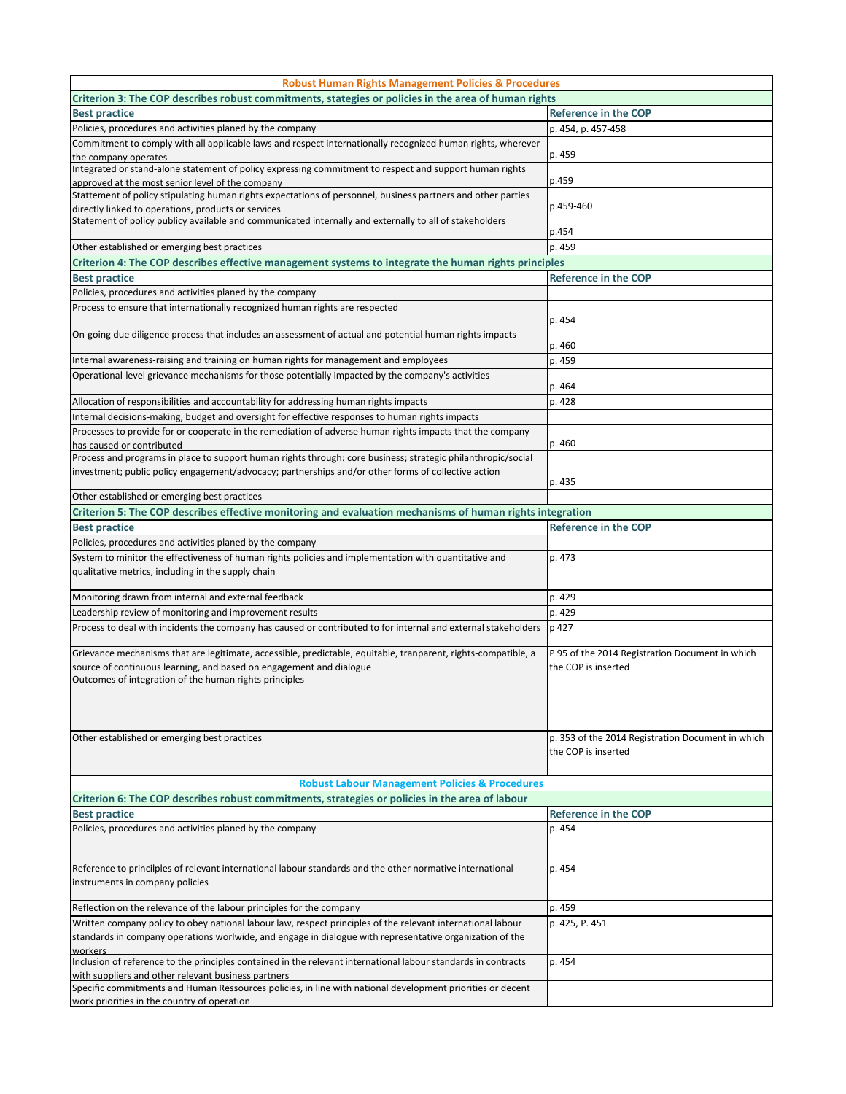| <b>Robust Human Rights Management Policies &amp; Procedures</b>                                                                                                                                                                    |                                                                          |
|------------------------------------------------------------------------------------------------------------------------------------------------------------------------------------------------------------------------------------|--------------------------------------------------------------------------|
| Criterion 3: The COP describes robust commitments, stategies or policies in the area of human rights                                                                                                                               |                                                                          |
| <b>Best practice</b>                                                                                                                                                                                                               | <b>Reference in the COP</b>                                              |
| Policies, procedures and activities planed by the company                                                                                                                                                                          | p. 454, p. 457-458                                                       |
| Commitment to comply with all applicable laws and respect internationally recognized human rights, wherever<br>the company operates                                                                                                | p. 459                                                                   |
| Integrated or stand-alone statement of policy expressing commitment to respect and support human rights<br>approved at the most senior level of the company                                                                        | p.459                                                                    |
| Stattement of policy stipulating human rights expectations of personnel, business partners and other parties<br>directly linked to operations, products or services                                                                | p.459-460                                                                |
| Statement of policy publicy available and communicated internally and externally to all of stakeholders                                                                                                                            | p.454                                                                    |
| Other established or emerging best practices                                                                                                                                                                                       | p. 459                                                                   |
| Criterion 4: The COP describes effective management systems to integrate the human rights principles                                                                                                                               |                                                                          |
| <b>Best practice</b>                                                                                                                                                                                                               | <b>Reference in the COP</b>                                              |
| Policies, procedures and activities planed by the company                                                                                                                                                                          |                                                                          |
| Process to ensure that internationally recognized human rights are respected                                                                                                                                                       | p. 454                                                                   |
| On-going due diligence process that includes an assessment of actual and potential human rights impacts                                                                                                                            | p. 460                                                                   |
| Internal awareness-raising and training on human rights for management and employees                                                                                                                                               | p. 459                                                                   |
| Operational-level grievance mechanisms for those potentially impacted by the company's activities                                                                                                                                  |                                                                          |
|                                                                                                                                                                                                                                    | p. 464                                                                   |
| Allocation of responsibilities and accountability for addressing human rights impacts                                                                                                                                              | p. 428                                                                   |
| Internal decisions-making, budget and oversight for effective responses to human rights impacts                                                                                                                                    |                                                                          |
| Processes to provide for or cooperate in the remediation of adverse human rights impacts that the company<br>has caused or contributed                                                                                             | p. 460                                                                   |
| Process and programs in place to support human rights through: core business; strategic philanthropic/social<br>investment; public policy engagement/advocacy; partnerships and/or other forms of collective action                | p. 435                                                                   |
| Other established or emerging best practices                                                                                                                                                                                       |                                                                          |
| Criterion 5: The COP describes effective monitoring and evaluation mechanisms of human rights integration                                                                                                                          |                                                                          |
| <b>Best practice</b>                                                                                                                                                                                                               | <b>Reference in the COP</b>                                              |
| Policies, procedures and activities planed by the company                                                                                                                                                                          |                                                                          |
| System to minitor the effectiveness of human rights policies and implementation with quantitative and                                                                                                                              | p. 473                                                                   |
| qualitative metrics, including in the supply chain                                                                                                                                                                                 |                                                                          |
| Monitoring drawn from internal and external feedback                                                                                                                                                                               | p. 429                                                                   |
| Leadership review of monitoring and improvement results                                                                                                                                                                            | p. 429                                                                   |
| Process to deal with incidents the company has caused or contributed to for internal and external stakeholders                                                                                                                     | p 427                                                                    |
| Grievance mechanisms that are legitimate, accessible, predictable, equitable, tranparent, rights-compatible, a<br>source of continuous learning, and based on engagement and dialogue                                              | P 95 of the 2014 Registration Document in which<br>the COP is inserted   |
| Outcomes of integration of the human rights principles                                                                                                                                                                             |                                                                          |
|                                                                                                                                                                                                                                    |                                                                          |
| Other established or emerging best practices                                                                                                                                                                                       | p. 353 of the 2014 Registration Document in which<br>the COP is inserted |
| <b>Robust Labour Management Policies &amp; Procedures</b>                                                                                                                                                                          |                                                                          |
| Criterion 6: The COP describes robust commitments, strategies or policies in the area of labour                                                                                                                                    |                                                                          |
| <b>Best practice</b>                                                                                                                                                                                                               | <b>Reference in the COP</b>                                              |
| Policies, procedures and activities planed by the company                                                                                                                                                                          | p. 454                                                                   |
| Reference to princilples of relevant international labour standards and the other normative international<br>instruments in company policies                                                                                       | p. 454                                                                   |
| Reflection on the relevance of the labour principles for the company                                                                                                                                                               | p. 459                                                                   |
| Written company policy to obey national labour law, respect principles of the relevant international labour<br>standards in company operations worlwide, and engage in dialogue with representative organization of the<br>workers | p. 425, P. 451                                                           |
| Inclusion of reference to the principles contained in the relevant international labour standards in contracts<br>with suppliers and other relevant business partners                                                              | p. 454                                                                   |
| Specific commitments and Human Ressources policies, in line with national development priorities or decent<br>work priorities in the country of operation                                                                          |                                                                          |
|                                                                                                                                                                                                                                    |                                                                          |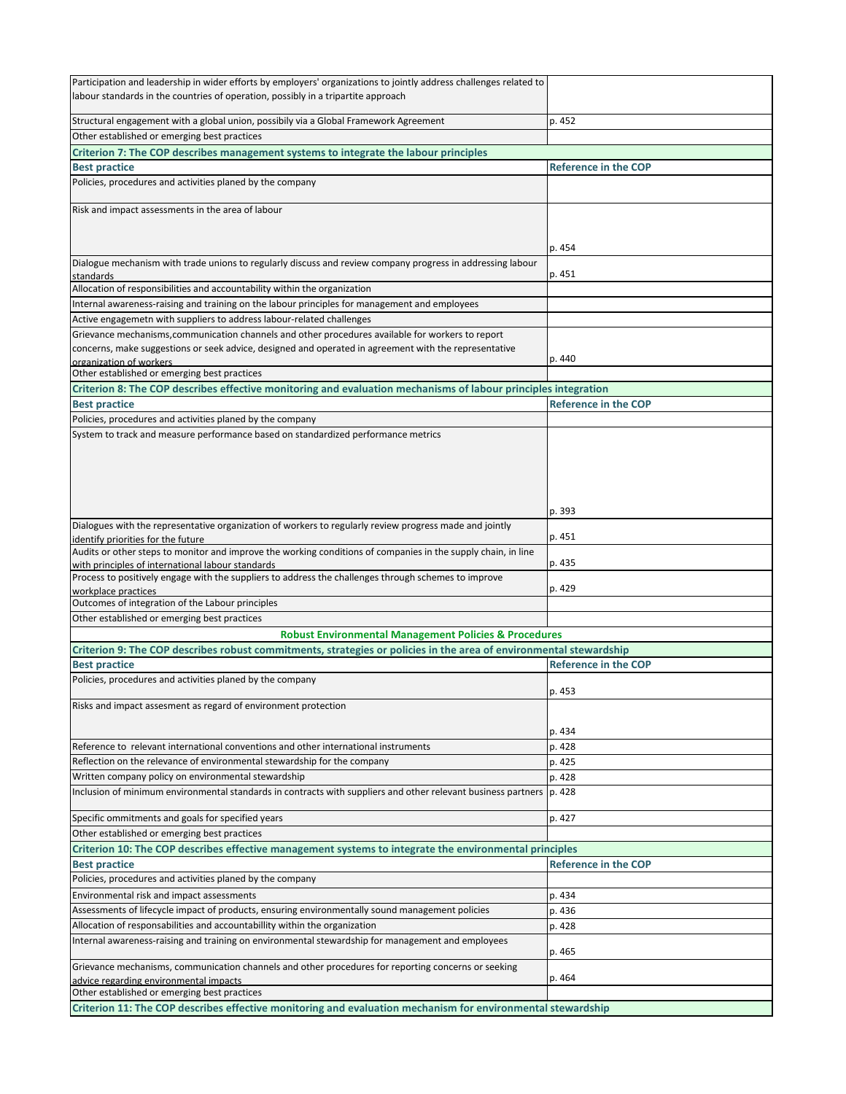| Participation and leadership in wider efforts by employers' organizations to jointly address challenges related to<br>labour standards in the countries of operation, possibly in a tripartite approach |                             |
|---------------------------------------------------------------------------------------------------------------------------------------------------------------------------------------------------------|-----------------------------|
| Structural engagement with a global union, possibily via a Global Framework Agreement                                                                                                                   | p. 452                      |
| Other established or emerging best practices                                                                                                                                                            |                             |
| Criterion 7: The COP describes management systems to integrate the labour principles                                                                                                                    |                             |
| <b>Best practice</b>                                                                                                                                                                                    | <b>Reference in the COP</b> |
| Policies, procedures and activities planed by the company                                                                                                                                               |                             |
| Risk and impact assessments in the area of labour                                                                                                                                                       |                             |
|                                                                                                                                                                                                         | p. 454                      |
| Dialogue mechanism with trade unions to regularly discuss and review company progress in addressing labour<br>standards                                                                                 | p. 451                      |
| Allocation of responsibilities and accountability within the organization                                                                                                                               |                             |
| Internal awareness-raising and training on the labour principles for management and employees                                                                                                           |                             |
| Active engagemetn with suppliers to address labour-related challenges                                                                                                                                   |                             |
| Grievance mechanisms, communication channels and other procedures available for workers to report                                                                                                       |                             |
| concerns, make suggestions or seek advice, designed and operated in agreement with the representative                                                                                                   |                             |
| organization of workers<br>Other established or emerging best practices                                                                                                                                 | p. 440                      |
|                                                                                                                                                                                                         |                             |
| Criterion 8: The COP describes effective monitoring and evaluation mechanisms of labour principles integration<br><b>Best practice</b>                                                                  | <b>Reference in the COP</b> |
| Policies, procedures and activities planed by the company                                                                                                                                               |                             |
| System to track and measure performance based on standardized performance metrics                                                                                                                       |                             |
|                                                                                                                                                                                                         |                             |
|                                                                                                                                                                                                         | p. 393                      |
| Dialogues with the representative organization of workers to regularly review progress made and jointly<br>identify priorities for the future                                                           | p. 451                      |
| Audits or other steps to monitor and improve the working conditions of companies in the supply chain, in line<br>with principles of international labour standards                                      | p. 435                      |
| Process to positively engage with the suppliers to address the challenges through schemes to improve                                                                                                    | p. 429                      |
| workplace practices<br>Outcomes of integration of the Labour principles                                                                                                                                 |                             |
| Other established or emerging best practices                                                                                                                                                            |                             |
| <b>Robust Environmental Management Policies &amp; Procedures</b>                                                                                                                                        |                             |
| Criterion 9: The COP describes robust commitments, strategies or policies in the area of environmental stewardship                                                                                      |                             |
| <b>Best practice</b>                                                                                                                                                                                    | <b>Reference in the COP</b> |
| Policies, procedures and activities planed by the company                                                                                                                                               | p. 453                      |
| Risks and impact assesment as regard of environment protection                                                                                                                                          |                             |
|                                                                                                                                                                                                         |                             |
| Reference to relevant international conventions and other international instruments                                                                                                                     | p. 434<br>p. 428            |
| Reflection on the relevance of environmental stewardship for the company                                                                                                                                | p. 425                      |
| Written company policy on environmental stewardship                                                                                                                                                     | p. 428                      |
| Inclusion of minimum environmental standards in contracts with suppliers and other relevant business partners  p. 428                                                                                   |                             |
| Specific ommitments and goals for specified years                                                                                                                                                       | p. 427                      |
| Other established or emerging best practices                                                                                                                                                            |                             |
| Criterion 10: The COP describes effective management systems to integrate the environmental principles                                                                                                  |                             |
| <b>Best practice</b>                                                                                                                                                                                    | Reference in the COP        |
| Policies, procedures and activities planed by the company                                                                                                                                               |                             |
| Environmental risk and impact assessments                                                                                                                                                               | p. 434                      |
| Assessments of lifecycle impact of products, ensuring environmentally sound management policies                                                                                                         | p. 436                      |
| Allocation of responsabilities and accountabillity within the organization                                                                                                                              | p. 428                      |
| Internal awareness-raising and training on environmental stewardship for management and employees                                                                                                       | p. 465                      |
| Grievance mechanisms, communication channels and other procedures for reporting concerns or seeking<br>advice regarding environmental impacts                                                           | p. 464                      |
| Other established or emerging best practices                                                                                                                                                            |                             |
| Criterion 11: The COP describes effective monitoring and evaluation mechanism for environmental stewardship                                                                                             |                             |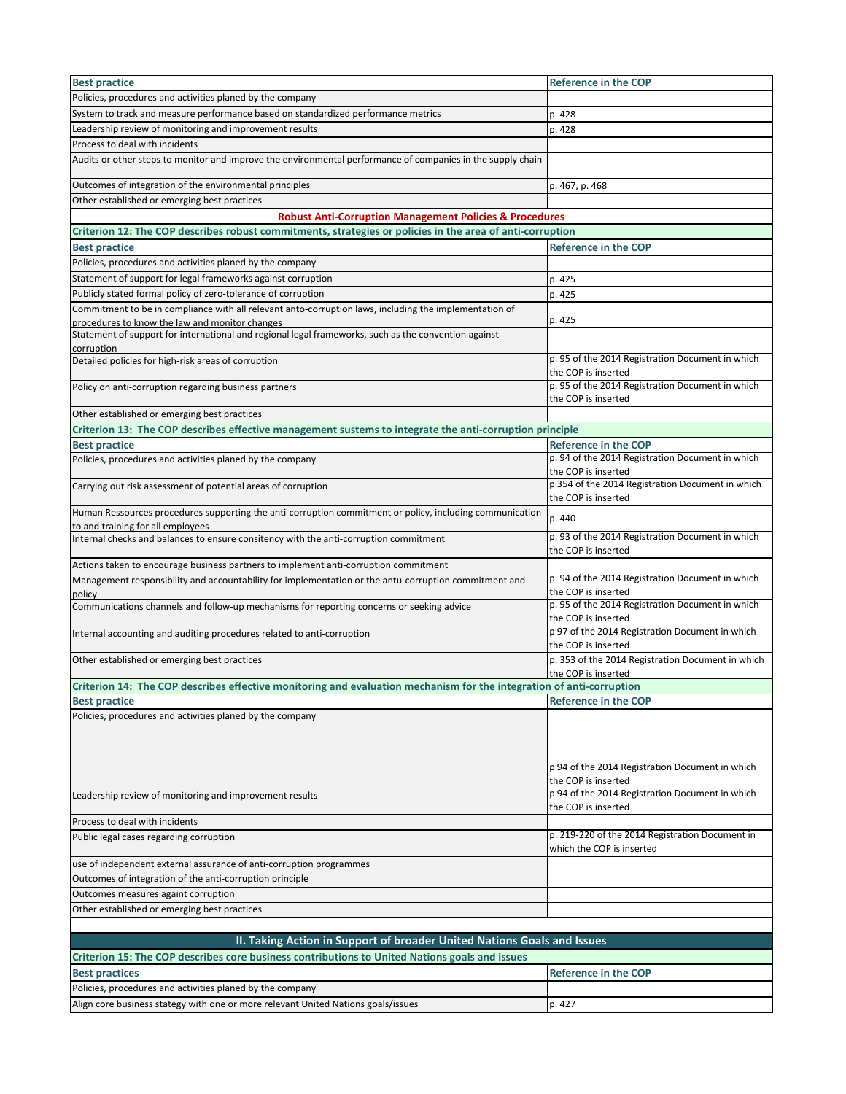| <b>Best practice</b>                                                                                                                          | <b>Reference in the COP</b>                                                  |
|-----------------------------------------------------------------------------------------------------------------------------------------------|------------------------------------------------------------------------------|
| Policies, procedures and activities planed by the company                                                                                     |                                                                              |
| System to track and measure performance based on standardized performance metrics                                                             | p. 428                                                                       |
| Leadership review of monitoring and improvement results                                                                                       | p. 428                                                                       |
| Process to deal with incidents                                                                                                                |                                                                              |
| Audits or other steps to monitor and improve the environmental performance of companies in the supply chain                                   |                                                                              |
| Outcomes of integration of the environmental principles                                                                                       | p. 467, p. 468                                                               |
| Other established or emerging best practices                                                                                                  |                                                                              |
| <b>Robust Anti-Corruption Management Policies &amp; Procedures</b>                                                                            |                                                                              |
| Criterion 12: The COP describes robust commitments, strategies or policies in the area of anti-corruption                                     |                                                                              |
| <b>Best practice</b>                                                                                                                          | <b>Reference in the COP</b>                                                  |
| Policies, procedures and activities planed by the company                                                                                     |                                                                              |
| Statement of support for legal frameworks against corruption                                                                                  | p. 425                                                                       |
| Publicly stated formal policy of zero-tolerance of corruption                                                                                 | p. 425                                                                       |
| Commitment to be in compliance with all relevant anto-corruption laws, including the implementation of                                        |                                                                              |
| procedures to know the law and monitor changes                                                                                                | p. 425                                                                       |
| Statement of support for international and regional legal frameworks, such as the convention against                                          |                                                                              |
| corruption<br>Detailed policies for high-risk areas of corruption                                                                             | p. 95 of the 2014 Registration Document in which                             |
|                                                                                                                                               | the COP is inserted                                                          |
| Policy on anti-corruption regarding business partners                                                                                         | p. 95 of the 2014 Registration Document in which                             |
|                                                                                                                                               | the COP is inserted                                                          |
| Other established or emerging best practices                                                                                                  |                                                                              |
| Criterion 13: The COP describes effective management sustems to integrate the anti-corruption principle                                       |                                                                              |
| <b>Best practice</b>                                                                                                                          | <b>Reference in the COP</b>                                                  |
| Policies, procedures and activities planed by the company                                                                                     | p. 94 of the 2014 Registration Document in which                             |
|                                                                                                                                               | the COP is inserted<br>p 354 of the 2014 Registration Document in which      |
| Carrying out risk assessment of potential areas of corruption                                                                                 | the COP is inserted                                                          |
| Human Ressources procedures supporting the anti-corruption commitment or policy, including communication<br>to and training for all employees | p. 440                                                                       |
| Internal checks and balances to ensure consitency with the anti-corruption commitment                                                         | p. 93 of the 2014 Registration Document in which                             |
|                                                                                                                                               | the COP is inserted                                                          |
| Actions taken to encourage business partners to implement anti-corruption commitment                                                          |                                                                              |
| Management responsibility and accountability for implementation or the antu-corruption commitment and                                         | p. 94 of the 2014 Registration Document in which                             |
| policy                                                                                                                                        | the COP is inserted<br>p. 95 of the 2014 Registration Document in which      |
| Communications channels and follow-up mechanisms for reporting concerns or seeking advice                                                     | the COP is inserted                                                          |
| Internal accounting and auditing procedures related to anti-corruption                                                                        | p 97 of the 2014 Registration Document in which                              |
| Other established or emerging best practices                                                                                                  | the COP is inserted<br>p. 353 of the 2014 Registration Document in which     |
|                                                                                                                                               | the COP is inserted                                                          |
| Criterion 14: The COP describes effective monitoring and evaluation mechanism for the integration of anti-corruption                          |                                                                              |
| <b>Best practice</b>                                                                                                                          | <b>Reference in the COP</b>                                                  |
| Policies, procedures and activities planed by the company                                                                                     |                                                                              |
|                                                                                                                                               |                                                                              |
|                                                                                                                                               |                                                                              |
|                                                                                                                                               | p 94 of the 2014 Registration Document in which                              |
|                                                                                                                                               | the COP is inserted                                                          |
| Leadership review of monitoring and improvement results                                                                                       | p 94 of the 2014 Registration Document in which                              |
|                                                                                                                                               | the COP is inserted                                                          |
| Process to deal with incidents                                                                                                                |                                                                              |
| Public legal cases regarding corruption                                                                                                       | p. 219-220 of the 2014 Registration Document in<br>which the COP is inserted |
| use of independent external assurance of anti-corruption programmes                                                                           |                                                                              |
| Outcomes of integration of the anti-corruption principle                                                                                      |                                                                              |
| Outcomes measures againt corruption                                                                                                           |                                                                              |
| Other established or emerging best practices                                                                                                  |                                                                              |
|                                                                                                                                               |                                                                              |
| II. Taking Action in Support of broader United Nations Goals and Issues                                                                       |                                                                              |
| Criterion 15: The COP describes core business contributions to United Nations goals and issues                                                |                                                                              |
| <b>Best practices</b>                                                                                                                         | <b>Reference in the COP</b>                                                  |
| Policies, procedures and activities planed by the company                                                                                     |                                                                              |
| Align core business stategy with one or more relevant United Nations goals/issues                                                             | p. 427                                                                       |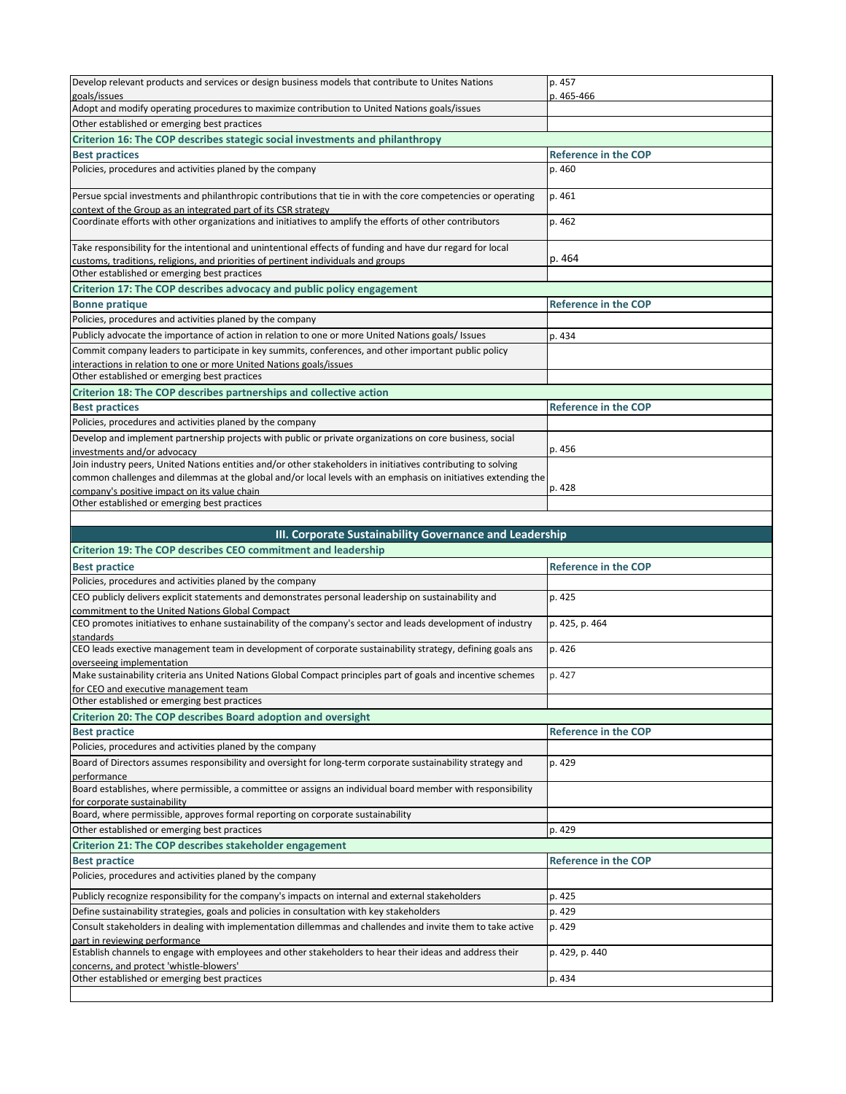| Develop relevant products and services or design business models that contribute to Unites Nations                                                                                                                                               | p. 457                      |
|--------------------------------------------------------------------------------------------------------------------------------------------------------------------------------------------------------------------------------------------------|-----------------------------|
| goals/issues                                                                                                                                                                                                                                     | p. 465-466                  |
| Adopt and modify operating procedures to maximize contribution to United Nations goals/issues                                                                                                                                                    |                             |
| Other established or emerging best practices                                                                                                                                                                                                     |                             |
| Criterion 16: The COP describes stategic social investments and philanthropy                                                                                                                                                                     |                             |
| <b>Best practices</b>                                                                                                                                                                                                                            | <b>Reference in the COP</b> |
| Policies, procedures and activities planed by the company                                                                                                                                                                                        | p. 460                      |
| Persue spcial investments and philanthropic contributions that tie in with the core competencies or operating<br>context of the Group as an integrated part of its CSR strategy                                                                  | p. 461                      |
| Coordinate efforts with other organizations and initiatives to amplify the efforts of other contributors                                                                                                                                         | p. 462                      |
| Take responsibility for the intentional and unintentional effects of funding and have dur regard for local<br>customs, traditions, religions, and priorities of pertinent individuals and groups<br>Other established or emerging best practices | p. 464                      |
| Criterion 17: The COP describes advocacy and public policy engagement                                                                                                                                                                            |                             |
| <b>Bonne pratique</b>                                                                                                                                                                                                                            | <b>Reference in the COP</b> |
| Policies, procedures and activities planed by the company                                                                                                                                                                                        |                             |
| Publicly advocate the importance of action in relation to one or more United Nations goals/ Issues                                                                                                                                               | p. 434                      |
| Commit company leaders to participate in key summits, conferences, and other important public policy<br>interactions in relation to one or more United Nations goals/issues                                                                      |                             |
| Other established or emerging best practices                                                                                                                                                                                                     |                             |
| Criterion 18: The COP describes partnerships and collective action                                                                                                                                                                               |                             |
| <b>Best practices</b>                                                                                                                                                                                                                            | <b>Reference in the COP</b> |
| Policies, procedures and activities planed by the company                                                                                                                                                                                        |                             |
| Develop and implement partnership projects with public or private organizations on core business, social<br>investments and/or advocacy                                                                                                          | p. 456                      |
| Join industry peers, United Nations entities and/or other stakeholders in initiatives contributing to solving<br>common challenges and dilemmas at the global and/or local levels with an emphasis on initiatives extending the                  |                             |
| company's positive impact on its value chain                                                                                                                                                                                                     | p. 428                      |
| Other established or emerging best practices                                                                                                                                                                                                     |                             |

| III. Corporate Sustainability Governance and Leadership<br><b>Criterion 19: The COP describes CEO commitment and leadership</b>                         |                             |
|---------------------------------------------------------------------------------------------------------------------------------------------------------|-----------------------------|
|                                                                                                                                                         |                             |
| Policies, procedures and activities planed by the company                                                                                               |                             |
| CEO publicly delivers explicit statements and demonstrates personal leadership on sustainability and<br>commitment to the United Nations Global Compact | p. 425                      |
| CEO promotes initiatives to enhane sustainability of the company's sector and leads development of industry<br>standards                                | p. 425, p. 464              |
| CEO leads exective management team in development of corporate sustainability strategy, defining goals ans<br>overseeing implementation                 | p. 426                      |
| Make sustainability criteria ans United Nations Global Compact principles part of goals and incentive schemes<br>for CEO and executive management team  | p. 427                      |
| Other established or emerging best practices                                                                                                            |                             |
| Criterion 20: The COP describes Board adoption and oversight                                                                                            |                             |
| <b>Best practice</b>                                                                                                                                    | <b>Reference in the COP</b> |
| Policies, procedures and activities planed by the company                                                                                               |                             |
| Board of Directors assumes responsibility and oversight for long-term corporate sustainability strategy and<br>performance                              | p. 429                      |
| Board establishes, where permissible, a committee or assigns an individual board member with responsibility<br>for corporate sustainability             |                             |
| Board, where permissible, approves formal reporting on corporate sustainability                                                                         |                             |
| Other established or emerging best practices                                                                                                            | p. 429                      |
| Criterion 21: The COP describes stakeholder engagement                                                                                                  |                             |
| <b>Best practice</b>                                                                                                                                    | <b>Reference in the COP</b> |
| Policies, procedures and activities planed by the company                                                                                               |                             |
| Publicly recognize responsibility for the company's impacts on internal and external stakeholders                                                       | p. 425                      |
| Define sustainability strategies, goals and policies in consultation with key stakeholders                                                              | p. 429                      |
| Consult stakeholders in dealing with implementation dillemmas and challendes and invite them to take active<br>part in reviewing performance            | p. 429                      |
| Establish channels to engage with employees and other stakeholders to hear their ideas and address their<br>concerns, and protect 'whistle-blowers'     | p. 429, p. 440              |
| Other established or emerging best practices                                                                                                            | p. 434                      |
|                                                                                                                                                         |                             |